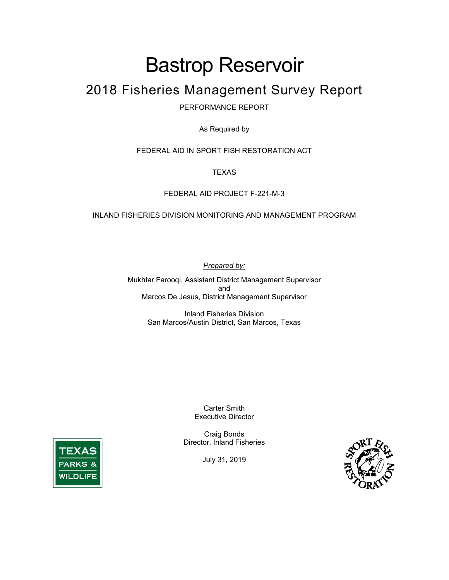# Bastrop Reservoir

# 2018 Fisheries Management Survey Report

PERFORMANCE REPORT

As Required by

FEDERAL AID IN SPORT FISH RESTORATION ACT

**TEXAS** 

#### FEDERAL AID PROJECT F-221-M-3

#### INLAND FISHERIES DIVISION MONITORING AND MANAGEMENT PROGRAM

*Prepared by:*

Mukhtar Farooqi, Assistant District Management Supervisor and Marcos De Jesus, District Management Supervisor

> Inland Fisheries Division San Marcos/Austin District, San Marcos, Texas

> > Carter Smith Executive Director

Craig Bonds Director, Inland Fisheries

July 31, 2019



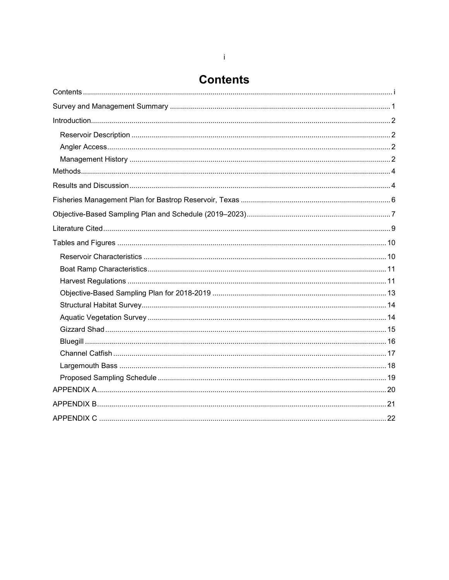# <span id="page-1-0"></span>**Contents**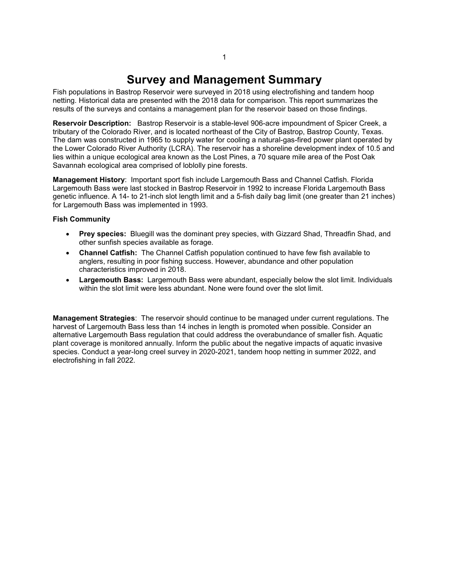# **Survey and Management Summary**

<span id="page-2-0"></span>Fish populations in Bastrop Reservoir were surveyed in 2018 using electrofishing and tandem hoop netting. Historical data are presented with the 2018 data for comparison. This report summarizes the results of the surveys and contains a management plan for the reservoir based on those findings.

**Reservoir Description:** Bastrop Reservoir is a stable-level 906-acre impoundment of Spicer Creek, a tributary of the Colorado River, and is located northeast of the City of Bastrop, Bastrop County, Texas. The dam was constructed in 1965 to supply water for cooling a natural-gas-fired power plant operated by the Lower Colorado River Authority (LCRA). The reservoir has a shoreline development index of 10.5 and lies within a unique ecological area known as the Lost Pines, a 70 square mile area of the Post Oak Savannah ecological area comprised of loblolly pine forests.

**Management History**: Important sport fish include Largemouth Bass and Channel Catfish. Florida Largemouth Bass were last stocked in Bastrop Reservoir in 1992 to increase Florida Largemouth Bass genetic influence. A 14- to 21-inch slot length limit and a 5-fish daily bag limit (one greater than 21 inches) for Largemouth Bass was implemented in 1993.

#### **Fish Community**

- **Prey species:** Bluegill was the dominant prey species, with Gizzard Shad, Threadfin Shad, and other sunfish species available as forage.
- **Channel Catfish:** The Channel Catfish population continued to have few fish available to anglers, resulting in poor fishing success. However, abundance and other population characteristics improved in 2018.
- **Largemouth Bass:** Largemouth Bass were abundant, especially below the slot limit. Individuals within the slot limit were less abundant. None were found over the slot limit.

**Management Strategies**: The reservoir should continue to be managed under current regulations. The harvest of Largemouth Bass less than 14 inches in length is promoted when possible. Consider an alternative Largemouth Bass regulation that could address the overabundance of smaller fish. Aquatic plant coverage is monitored annually. Inform the public about the negative impacts of aquatic invasive species. Conduct a year-long creel survey in 2020-2021, tandem hoop netting in summer 2022, and electrofishing in fall 2022.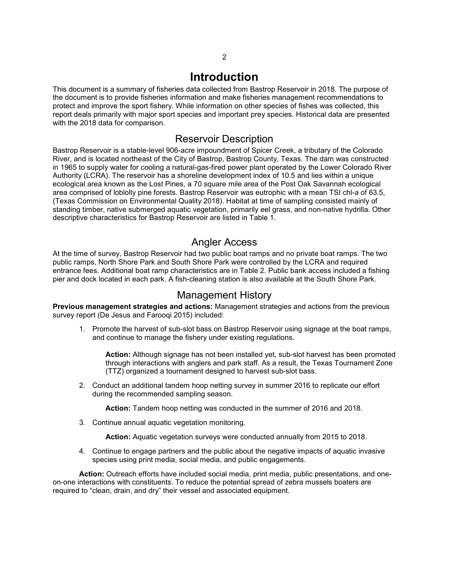# **Introduction**

<span id="page-3-0"></span>This document is a summary of fisheries data collected from Bastrop Reservoir in 2018. The purpose of the document is to provide fisheries information and make fisheries management recommendations to protect and improve the sport fishery. While information on other species of fishes was collected, this report deals primarily with major sport species and important prey species. Historical data are presented with the 2018 data for comparison.

### Reservoir Description

<span id="page-3-1"></span>Bastrop Reservoir is a stable-level 906-acre impoundment of Spicer Creek, a tributary of the Colorado River, and is located northeast of the City of Bastrop, Bastrop County, Texas. The dam was constructed in 1965 to supply water for cooling a natural-gas-fired power plant operated by the Lower Colorado River Authority (LCRA). The reservoir has a shoreline development index of 10.5 and lies within a unique ecological area known as the Lost Pines, a 70 square mile area of the Post Oak Savannah ecological area comprised of loblolly pine forests. Bastrop Reservoir was eutrophic with a mean TSI chl-*a* of 63.5, (Texas Commission on Environmental Quality 2018). Habitat at time of sampling consisted mainly of standing timber, native submerged aquatic vegetation, primarily eel grass, and non-native hydrilla. Other descriptive characteristics for Bastrop Reservoir are listed in Table 1.

### Angler Access

<span id="page-3-2"></span>At the time of survey, Bastrop Reservoir had two public boat ramps and no private boat ramps. The two public ramps, North Shore Park and South Shore Park were controlled by the LCRA and required entrance fees. Additional boat ramp characteristics are in Table 2. Public bank access included a fishing pier and dock located in each park. A fish-cleaning station is also available at the South Shore Park.

### Management History

<span id="page-3-3"></span>**Previous management strategies and actions:** Management strategies and actions from the previous survey report (De Jesus and Farooqi 2015) included:

1. Promote the harvest of sub-slot bass on Bastrop Reservoir using signage at the boat ramps, and continue to manage the fishery under existing regulations.

**Action:** Although signage has not been installed yet, sub-slot harvest has been promoted through interactions with anglers and park staff. As a result, the Texas Tournament Zone (TTZ) organized a tournament designed to harvest sub-slot bass.

2. Conduct an additional tandem hoop netting survey in summer 2016 to replicate our effort during the recommended sampling season.

**Action:** Tandem hoop netting was conducted in the summer of 2016 and 2018.

3. Continue annual aquatic vegetation monitoring.

**Action:** Aquatic vegetation surveys were conducted annually from 2015 to 2018.

4. Continue to engage partners and the public about the negative impacts of aquatic invasive species using print media, social media, and public engagements.

**Action:** Outreach efforts have included social media, print media, public presentations, and oneon-one interactions with constituents. To reduce the potential spread of zebra mussels boaters are required to "clean, drain, and dry" their vessel and associated equipment.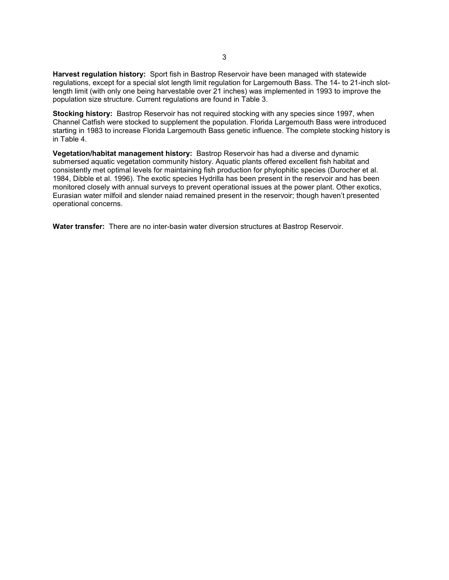**Harvest regulation history:** Sport fish in Bastrop Reservoir have been managed with statewide regulations, except for a special slot length limit regulation for Largemouth Bass. The 14- to 21-inch slotlength limit (with only one being harvestable over 21 inches) was implemented in 1993 to improve the population size structure. Current regulations are found in Table 3.

**Stocking history:** Bastrop Reservoir has not required stocking with any species since 1997, when Channel Catfish were stocked to supplement the population. Florida Largemouth Bass were introduced starting in 1983 to increase Florida Largemouth Bass genetic influence. The complete stocking history is in Table 4.

**Vegetation/habitat management history:** Bastrop Reservoir has had a diverse and dynamic submersed aquatic vegetation community history. Aquatic plants offered excellent fish habitat and consistently met optimal levels for maintaining fish production for phylophitic species (Durocher et al. 1984, Dibble et al. 1996). The exotic species Hydrilla has been present in the reservoir and has been monitored closely with annual surveys to prevent operational issues at the power plant. Other exotics, Eurasian water milfoil and slender naiad remained present in the reservoir; though haven't presented operational concerns.

**Water transfer:** There are no inter-basin water diversion structures at Bastrop Reservoir.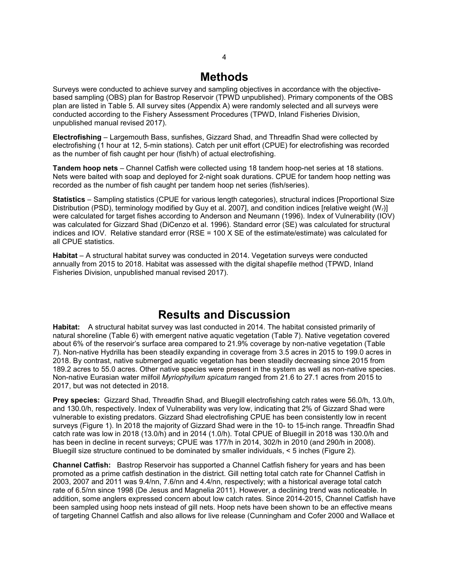## **Methods**

<span id="page-5-0"></span>Surveys were conducted to achieve survey and sampling objectives in accordance with the objectivebased sampling (OBS) plan for Bastrop Reservoir (TPWD unpublished). Primary components of the OBS plan are listed in Table 5. All survey sites (Appendix A) were randomly selected and all surveys were conducted according to the Fishery Assessment Procedures (TPWD, Inland Fisheries Division, unpublished manual revised 2017).

**Electrofishing** – Largemouth Bass, sunfishes, Gizzard Shad, and Threadfin Shad were collected by electrofishing (1 hour at 12, 5-min stations). Catch per unit effort (CPUE) for electrofishing was recorded as the number of fish caught per hour (fish/h) of actual electrofishing.

**Tandem hoop nets** – Channel Catfish were collected using 18 tandem hoop-net series at 18 stations. Nets were baited with soap and deployed for 2-night soak durations. CPUE for tandem hoop netting was recorded as the number of fish caught per tandem hoop net series (fish/series).

**Statistics** – Sampling statistics (CPUE for various length categories), structural indices [Proportional Size Distribution (PSD), terminology modified by Guy et al. 2007], and condition indices [relative weight (W*r*)] were calculated for target fishes according to Anderson and Neumann (1996). Index of Vulnerability (IOV) was calculated for Gizzard Shad (DiCenzo et al. 1996). Standard error (SE) was calculated for structural indices and IOV. Relative standard error (RSE = 100 X SE of the estimate/estimate) was calculated for all CPUE statistics.

**Habitat** – A structural habitat survey was conducted in 2014. Vegetation surveys were conducted annually from 2015 to 2018. Habitat was assessed with the digital shapefile method (TPWD, Inland Fisheries Division, unpublished manual revised 2017).

## **Results and Discussion**

<span id="page-5-1"></span>**Habitat:** A structural habitat survey was last conducted in 2014. The habitat consisted primarily of natural shoreline (Table 6) with emergent native aquatic vegetation (Table 7). Native vegetation covered about 6% of the reservoir's surface area compared to 21.9% coverage by non-native vegetation (Table 7). Non-native Hydrilla has been steadily expanding in coverage from 3.5 acres in 2015 to 199.0 acres in 2018. By contrast, native submerged aquatic vegetation has been steadily decreasing since 2015 from 189.2 acres to 55.0 acres. Other native species were present in the system as well as non-native species. Non-native Eurasian water milfoil *Myriophyllum spicatum* ranged from 21.6 to 27.1 acres from 2015 to 2017, but was not detected in 2018.

**Prey species:** Gizzard Shad, Threadfin Shad, and Bluegill electrofishing catch rates were 56.0/h, 13.0/h, and 130.0/h, respectively. Index of Vulnerability was very low, indicating that 2% of Gizzard Shad were vulnerable to existing predators. Gizzard Shad electrofishing CPUE has been consistently low in recent surveys (Figure 1). In 2018 the majority of Gizzard Shad were in the 10- to 15-inch range. Threadfin Shad catch rate was low in 2018 (13.0/h) and in 2014 (1.0/h). Total CPUE of Bluegill in 2018 was 130.0/h and has been in decline in recent surveys; CPUE was 177/h in 2014, 302/h in 2010 (and 290/h in 2008). Bluegill size structure continued to be dominated by smaller individuals, < 5 inches (Figure 2).

**Channel Catfish:** Bastrop Reservoir has supported a Channel Catfish fishery for years and has been promoted as a prime catfish destination in the district. Gill netting total catch rate for Channel Catfish in 2003, 2007 and 2011 was 9.4/nn, 7.6/nn and 4.4/nn, respectively; with a historical average total catch rate of 6.5/nn since 1998 (De Jesus and Magnelia 2011). However, a declining trend was noticeable. In addition, some anglers expressed concern about low catch rates. Since 2014-2015, Channel Catfish have been sampled using hoop nets instead of gill nets. Hoop nets have been shown to be an effective means of targeting Channel Catfish and also allows for live release (Cunningham and Cofer 2000 and Wallace et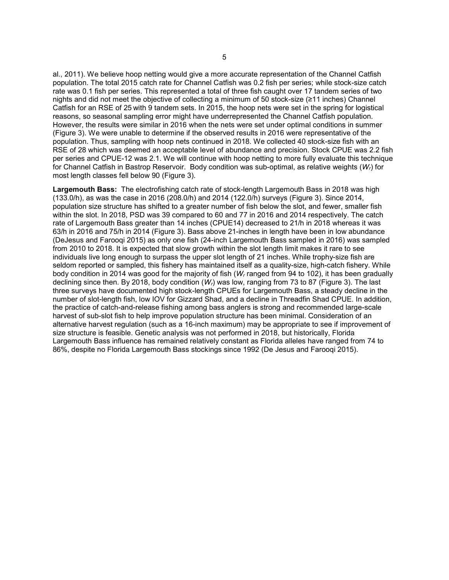al., 2011). We believe hoop netting would give a more accurate representation of the Channel Catfish population. The total 2015 catch rate for Channel Catfish was 0.2 fish per series; while stock-size catch rate was 0.1 fish per series. This represented a total of three fish caught over 17 tandem series of two nights and did not meet the objective of collecting a minimum of 50 stock-size (≥11 inches) Channel Catfish for an RSE of 25 with 9 tandem sets. In 2015, the hoop nets were set in the spring for logistical reasons, so seasonal sampling error might have underrepresented the Channel Catfish population. However, the results were similar in 2016 when the nets were set under optimal conditions in summer (Figure 3). We were unable to determine if the observed results in 2016 were representative of the population. Thus, sampling with hoop nets continued in 2018. We collected 40 stock-size fish with an RSE of 28 which was deemed an acceptable level of abundance and precision. Stock CPUE was 2.2 fish per series and CPUE-12 was 2.1. We will continue with hoop netting to more fully evaluate this technique for Channel Catfish in Bastrop Reservoir. Body condition was sub-optimal, as relative weights (*Wr*) for most length classes fell below 90 (Figure 3).

**Largemouth Bass:** The electrofishing catch rate of stock-length Largemouth Bass in 2018 was high (133.0/h), as was the case in 2016 (208.0/h) and 2014 (122.0/h) surveys (Figure 3). Since 2014, population size structure has shifted to a greater number of fish below the slot, and fewer, smaller fish within the slot. In 2018, PSD was 39 compared to 60 and 77 in 2016 and 2014 respectively. The catch rate of Largemouth Bass greater than 14 inches (CPUE14) decreased to 21/h in 2018 whereas it was 63/h in 2016 and 75/h in 2014 (Figure 3). Bass above 21-inches in length have been in low abundance (DeJesus and Farooqi 2015) as only one fish (24-inch Largemouth Bass sampled in 2016) was sampled from 2010 to 2018. It is expected that slow growth within the slot length limit makes it rare to see individuals live long enough to surpass the upper slot length of 21 inches. While trophy-size fish are seldom reported or sampled, this fishery has maintained itself as a quality-size, high-catch fishery. While body condition in 2014 was good for the majority of fish (*Wr* ranged from 94 to 102), it has been gradually declining since then. By 2018, body condition (*Wr*) was low, ranging from 73 to 87 (Figure 3). The last three surveys have documented high stock-length CPUEs for Largemouth Bass, a steady decline in the number of slot-length fish, low IOV for Gizzard Shad, and a decline in Threadfin Shad CPUE. In addition, the practice of catch-and-release fishing among bass anglers is strong and recommended large-scale harvest of sub-slot fish to help improve population structure has been minimal. Consideration of an alternative harvest regulation (such as a 16-inch maximum) may be appropriate to see if improvement of size structure is feasible. Genetic analysis was not performed in 2018, but historically, Florida Largemouth Bass influence has remained relatively constant as Florida alleles have ranged from 74 to 86%, despite no Florida Largemouth Bass stockings since 1992 (De Jesus and Farooqi 2015).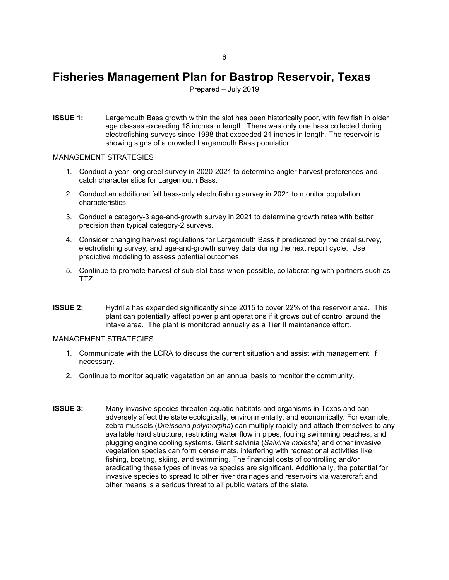# <span id="page-7-0"></span>**Fisheries Management Plan for Bastrop Reservoir, Texas**

Prepared – July 2019

**ISSUE 1:** Largemouth Bass growth within the slot has been historically poor, with few fish in older age classes exceeding 18 inches in length. There was only one bass collected during electrofishing surveys since 1998 that exceeded 21 inches in length. The reservoir is showing signs of a crowded Largemouth Bass population.

#### MANAGEMENT STRATEGIES

- 1. Conduct a year-long creel survey in 2020-2021 to determine angler harvest preferences and catch characteristics for Largemouth Bass.
- 2. Conduct an additional fall bass-only electrofishing survey in 2021 to monitor population characteristics.
- 3. Conduct a category-3 age-and-growth survey in 2021 to determine growth rates with better precision than typical category-2 surveys.
- 4. Consider changing harvest regulations for Largemouth Bass if predicated by the creel survey, electrofishing survey, and age-and-growth survey data during the next report cycle. Use predictive modeling to assess potential outcomes.
- 5. Continue to promote harvest of sub-slot bass when possible, collaborating with partners such as TTZ.
- **ISSUE 2:** Hydrilla has expanded significantly since 2015 to cover 22% of the reservoir area. This plant can potentially affect power plant operations if it grows out of control around the intake area. The plant is monitored annually as a Tier II maintenance effort.

#### MANAGEMENT STRATEGIES

- 1. Communicate with the LCRA to discuss the current situation and assist with management, if necessary.
- 2. Continue to monitor aquatic vegetation on an annual basis to monitor the community.
- **ISSUE 3:** Many invasive species threaten aquatic habitats and organisms in Texas and can adversely affect the state ecologically, environmentally, and economically. For example, zebra mussels (*Dreissena polymorpha*) can multiply rapidly and attach themselves to any available hard structure, restricting water flow in pipes, fouling swimming beaches, and plugging engine cooling systems. Giant salvinia (*Salvinia molesta*) and other invasive vegetation species can form dense mats, interfering with recreational activities like fishing, boating, skiing, and swimming. The financial costs of controlling and/or eradicating these types of invasive species are significant. Additionally, the potential for invasive species to spread to other river drainages and reservoirs via watercraft and other means is a serious threat to all public waters of the state.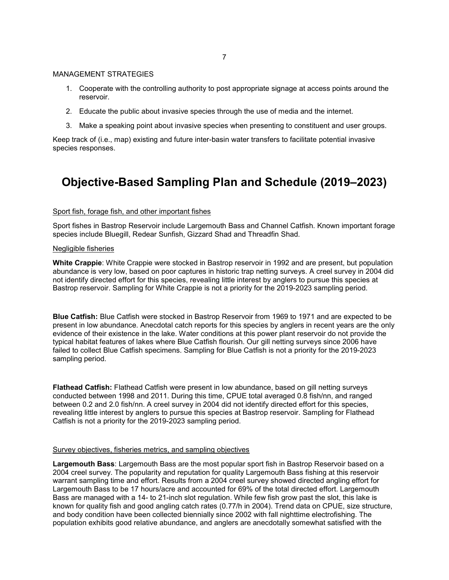#### MANAGEMENT STRATEGIES

- 1. Cooperate with the controlling authority to post appropriate signage at access points around the reservoir.
- 2. Educate the public about invasive species through the use of media and the internet.
- 3. Make a speaking point about invasive species when presenting to constituent and user groups.

Keep track of (i.e., map) existing and future inter-basin water transfers to facilitate potential invasive species responses.

# <span id="page-8-0"></span>**Objective-Based Sampling Plan and Schedule (2019–2023)**

#### Sport fish, forage fish, and other important fishes

Sport fishes in Bastrop Reservoir include Largemouth Bass and Channel Catfish. Known important forage species include Bluegill, Redear Sunfish, Gizzard Shad and Threadfin Shad.

#### Negligible fisheries

**White Crappie**: White Crappie were stocked in Bastrop reservoir in 1992 and are present, but population abundance is very low, based on poor captures in historic trap netting surveys. A creel survey in 2004 did not identify directed effort for this species, revealing little interest by anglers to pursue this species at Bastrop reservoir. Sampling for White Crappie is not a priority for the 2019-2023 sampling period.

**Blue Catfish:** Blue Catfish were stocked in Bastrop Reservoir from 1969 to 1971 and are expected to be present in low abundance. Anecdotal catch reports for this species by anglers in recent years are the only evidence of their existence in the lake. Water conditions at this power plant reservoir do not provide the typical habitat features of lakes where Blue Catfish flourish. Our gill netting surveys since 2006 have failed to collect Blue Catfish specimens. Sampling for Blue Catfish is not a priority for the 2019-2023 sampling period.

**Flathead Catfish:** Flathead Catfish were present in low abundance, based on gill netting surveys conducted between 1998 and 2011. During this time, CPUE total averaged 0.8 fish/nn, and ranged between 0.2 and 2.0 fish/nn. A creel survey in 2004 did not identify directed effort for this species, revealing little interest by anglers to pursue this species at Bastrop reservoir. Sampling for Flathead Catfish is not a priority for the 2019-2023 sampling period.

#### Survey objectives, fisheries metrics, and sampling objectives

**Largemouth Bass**: Largemouth Bass are the most popular sport fish in Bastrop Reservoir based on a 2004 creel survey. The popularity and reputation for quality Largemouth Bass fishing at this reservoir warrant sampling time and effort. Results from a 2004 creel survey showed directed angling effort for Largemouth Bass to be 17 hours/acre and accounted for 69% of the total directed effort. Largemouth Bass are managed with a 14- to 21-inch slot regulation. While few fish grow past the slot, this lake is known for quality fish and good angling catch rates (0.77/h in 2004). Trend data on CPUE, size structure, and body condition have been collected biennially since 2002 with fall nighttime electrofishing. The population exhibits good relative abundance, and anglers are anecdotally somewhat satisfied with the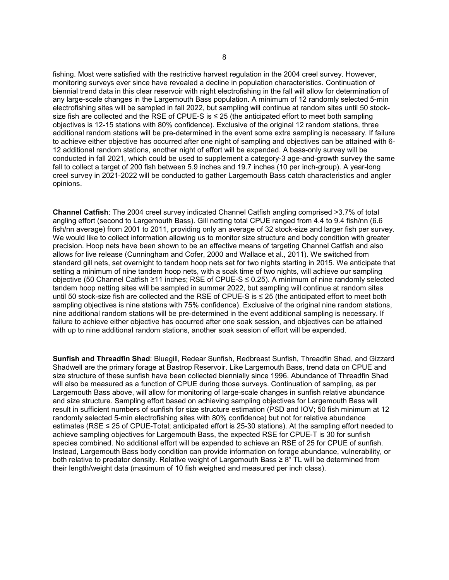fishing. Most were satisfied with the restrictive harvest regulation in the 2004 creel survey. However, monitoring surveys ever since have revealed a decline in population characteristics. Continuation of biennial trend data in this clear reservoir with night electrofishing in the fall will allow for determination of any large-scale changes in the Largemouth Bass population. A minimum of 12 randomly selected 5-min electrofishing sites will be sampled in fall 2022, but sampling will continue at random sites until 50 stocksize fish are collected and the RSE of CPUE-S is ≤ 25 (the anticipated effort to meet both sampling objectives is 12-15 stations with 80% confidence). Exclusive of the original 12 random stations, three additional random stations will be pre-determined in the event some extra sampling is necessary. If failure to achieve either objective has occurred after one night of sampling and objectives can be attained with 6- 12 additional random stations, another night of effort will be expended. A bass-only survey will be conducted in fall 2021, which could be used to supplement a category-3 age-and-growth survey the same fall to collect a target of 200 fish between 5.9 inches and 19.7 inches (10 per inch-group). A year-long creel survey in 2021-2022 will be conducted to gather Largemouth Bass catch characteristics and angler opinions.

**Channel Catfish**: The 2004 creel survey indicated Channel Catfish angling comprised >3.7% of total angling effort (second to Largemouth Bass). Gill netting total CPUE ranged from 4.4 to 9.4 fish/nn (6.6 fish/nn average) from 2001 to 2011, providing only an average of 32 stock-size and larger fish per survey. We would like to collect information allowing us to monitor size structure and body condition with greater precision. Hoop nets have been shown to be an effective means of targeting Channel Catfish and also allows for live release (Cunningham and Cofer, 2000 and Wallace et al., 2011). We switched from standard gill nets, set overnight to tandem hoop nets set for two nights starting in 2015. We anticipate that setting a minimum of nine tandem hoop nets, with a soak time of two nights, will achieve our sampling objective (50 Channel Catfish ≥11 inches; RSE of CPUE-S ≤ 0.25). A minimum of nine randomly selected tandem hoop netting sites will be sampled in summer 2022, but sampling will continue at random sites until 50 stock-size fish are collected and the RSE of CPUE-S is ≤ 25 (the anticipated effort to meet both sampling objectives is nine stations with 75% confidence). Exclusive of the original nine random stations, nine additional random stations will be pre-determined in the event additional sampling is necessary. If failure to achieve either objective has occurred after one soak session, and objectives can be attained with up to nine additional random stations, another soak session of effort will be expended.

**Sunfish and Threadfin Shad**: Bluegill, Redear Sunfish, Redbreast Sunfish, Threadfin Shad, and Gizzard Shadwell are the primary forage at Bastrop Reservoir. Like Largemouth Bass, trend data on CPUE and size structure of these sunfish have been collected biennially since 1996. Abundance of Threadfin Shad will also be measured as a function of CPUE during those surveys. Continuation of sampling, as per Largemouth Bass above, will allow for monitoring of large-scale changes in sunfish relative abundance and size structure. Sampling effort based on achieving sampling objectives for Largemouth Bass will result in sufficient numbers of sunfish for size structure estimation (PSD and IOV; 50 fish minimum at 12 randomly selected 5-min electrofishing sites with 80% confidence) but not for relative abundance estimates (RSE ≤ 25 of CPUE-Total; anticipated effort is 25-30 stations). At the sampling effort needed to achieve sampling objectives for Largemouth Bass, the expected RSE for CPUE-T is 30 for sunfish species combined. No additional effort will be expended to achieve an RSE of 25 for CPUE of sunfish. Instead, Largemouth Bass body condition can provide information on forage abundance, vulnerability, or both relative to predator density. Relative weight of Largemouth Bass ≥ 8" TL will be determined from their length/weight data (maximum of 10 fish weighed and measured per inch class).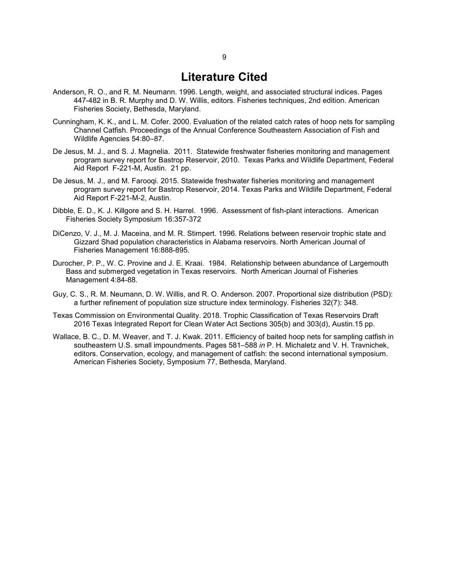### **Literature Cited**

- <span id="page-10-0"></span>Anderson, R. O., and R. M. Neumann. 1996. Length, weight, and associated structural indices. Pages 447-482 in B. R. Murphy and D. W. Willis, editors. Fisheries techniques, 2nd edition. American Fisheries Society, Bethesda, Maryland.
- Cunningham, K. K., and L. M. Cofer. 2000. Evaluation of the related catch rates of hoop nets for sampling Channel Catfish. Proceedings of the Annual Conference Southeastern Association of Fish and Wildlife Agencies 54:80–87.
- De Jesus, M. J., and S. J. Magnelia. 2011. Statewide freshwater fisheries monitoring and management program survey report for Bastrop Reservoir, 2010. Texas Parks and Wildlife Department, Federal Aid Report F-221-M, Austin. 21 pp.
- De Jesus, M. J., and M. Farooqi. 2015. Statewide freshwater fisheries monitoring and management program survey report for Bastrop Reservoir, 2014. Texas Parks and Wildlife Department, Federal Aid Report F-221-M-2, Austin.
- Dibble, E. D., K. J. Killgore and S. H. Harrel. 1996. Assessment of fish-plant interactions. American Fisheries Society Symposium 16:357-372
- DiCenzo, V. J., M. J. Maceina, and M. R. Stimpert. 1996. Relations between reservoir trophic state and Gizzard Shad population characteristics in Alabama reservoirs. North American Journal of Fisheries Management 16:888-895.
- Durocher, P. P., W. C. Provine and J. E. Kraai. 1984. Relationship between abundance of Largemouth Bass and submerged vegetation in Texas reservoirs. North American Journal of Fisheries Management 4:84-88.
- Guy, C. S., R. M. Neumann, D. W. Willis, and R. O. Anderson. 2007. Proportional size distribution (PSD): a further refinement of population size structure index terminology. Fisheries 32(7): 348.
- Texas Commission on Environmental Quality. 2018. Trophic Classification of Texas Reservoirs Draft 2016 Texas Integrated Report for Clean Water Act Sections 305(b) and 303(d), Austin.15 pp.
- Wallace, B. C., D. M. Weaver, and T. J. Kwak. 2011. Efficiency of baited hoop nets for sampling catfish in southeastern U.S. small impoundments. Pages 581–588 *in* P. H. Michaletz and V. H. Travnichek, editors. Conservation, ecology, and management of catfish: the second international symposium. American Fisheries Society, Symposium 77, Bethesda, Maryland.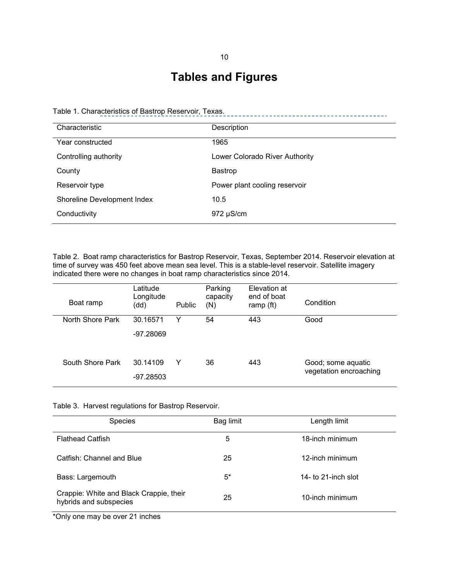# **Tables and Figures**

<span id="page-11-1"></span><span id="page-11-0"></span>

| Table 1. Characteristics of Bastrop Reservoir, Texas. |  |
|-------------------------------------------------------|--|
|-------------------------------------------------------|--|

| Characteristic              | Description                    |
|-----------------------------|--------------------------------|
| Year constructed            | 1965                           |
| Controlling authority       | Lower Colorado River Authority |
| County                      | <b>Bastrop</b>                 |
| Reservoir type              | Power plant cooling reservoir  |
| Shoreline Development Index | 10.5                           |
| Conductivity                | $972 \mu S/cm$                 |

Table 2. Boat ramp characteristics for Bastrop Reservoir, Texas, September 2014. Reservoir elevation at time of survey was 450 feet above mean sea level. This is a stable-level reservoir. Satellite imagery indicated there were no changes in boat ramp characteristics since 2014.

| Boat ramp        | Latitude<br>Longitude<br>(dd) | <b>Public</b> | Parking<br>capacity<br>(N) | Elevation at<br>end of boat<br>ramp (ft) | Condition                                    |
|------------------|-------------------------------|---------------|----------------------------|------------------------------------------|----------------------------------------------|
| North Shore Park | 30.16571<br>$-97.28069$       | Y             | 54                         | 443                                      | Good                                         |
| South Shore Park | 30.14109<br>$-97.28503$       | Y             | 36                         | 443                                      | Good; some aquatic<br>vegetation encroaching |

Table 3. Harvest regulations for Bastrop Reservoir.

| <b>Species</b>                                                    | Bag limit | Length limit        |
|-------------------------------------------------------------------|-----------|---------------------|
| <b>Flathead Catfish</b>                                           | 5         | 18-inch minimum     |
| Catfish: Channel and Blue                                         | 25        | 12-inch minimum     |
| Bass: Largemouth                                                  | $5^*$     | 14- to 21-inch slot |
| Crappie: White and Black Crappie, their<br>hybrids and subspecies | 25        | 10-inch minimum     |

\*Only one may be over 21 inches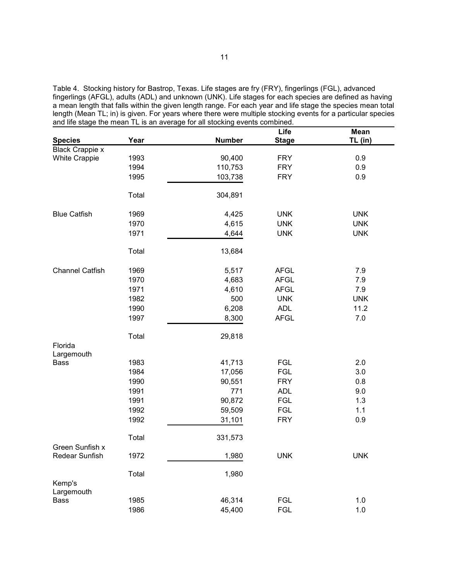Table 4. Stocking history for Bastrop, Texas. Life stages are fry (FRY), fingerlings (FGL), advanced fingerlings (AFGL), adults (ADL) and unknown (UNK). Life stages for each species are defined as having a mean length that falls within the given length range. For each year and life stage the species mean total length (Mean TL; in) is given. For years where there were multiple stocking events for a particular species and life stage the mean TL is an average for all stocking events combined.  $\overline{\phantom{a}}$ 

| <b>Species</b>                    | Year  | <b>Number</b> | Life<br><b>Stage</b> | <b>Mean</b><br>TL (in) |
|-----------------------------------|-------|---------------|----------------------|------------------------|
| <b>Black Crappie x</b>            |       |               |                      |                        |
| <b>White Crappie</b>              | 1993  | 90,400        | <b>FRY</b>           | 0.9                    |
|                                   | 1994  | 110,753       | <b>FRY</b>           | 0.9                    |
|                                   | 1995  | 103,738       | <b>FRY</b>           | 0.9                    |
|                                   | Total | 304,891       |                      |                        |
| <b>Blue Catfish</b>               | 1969  | 4,425         | <b>UNK</b>           | <b>UNK</b>             |
|                                   | 1970  | 4,615         | <b>UNK</b>           | <b>UNK</b>             |
|                                   | 1971  | 4,644         | <b>UNK</b>           | <b>UNK</b>             |
|                                   | Total | 13,684        |                      |                        |
| <b>Channel Catfish</b>            | 1969  | 5,517         | <b>AFGL</b>          | 7.9                    |
|                                   | 1970  | 4,683         | <b>AFGL</b>          | 7.9                    |
|                                   | 1971  | 4,610         | <b>AFGL</b>          | 7.9                    |
|                                   | 1982  | 500           | <b>UNK</b>           | <b>UNK</b>             |
|                                   | 1990  | 6,208         | <b>ADL</b>           | 11.2                   |
|                                   | 1997  | 8,300         | <b>AFGL</b>          | 7.0                    |
|                                   | Total | 29,818        |                      |                        |
| Florida<br>Largemouth             |       |               |                      |                        |
| Bass                              | 1983  | 41,713        | <b>FGL</b>           | 2.0                    |
|                                   | 1984  | 17,056        | <b>FGL</b>           | 3.0                    |
|                                   | 1990  | 90,551        | <b>FRY</b>           | 0.8                    |
|                                   | 1991  | 771           | <b>ADL</b>           | 9.0                    |
|                                   | 1991  | 90,872        | <b>FGL</b>           | 1.3                    |
|                                   | 1992  | 59,509        | <b>FGL</b>           | 1.1                    |
|                                   | 1992  | 31,101        | <b>FRY</b>           | 0.9                    |
|                                   | Total | 331,573       |                      |                        |
| Green Sunfish x<br>Redear Sunfish | 1972  | 1,980         | <b>UNK</b>           | <b>UNK</b>             |
|                                   |       |               |                      |                        |
| Kemp's                            | Total | 1,980         |                      |                        |
| Largemouth                        |       |               |                      |                        |
| Bass                              | 1985  | 46,314        | <b>FGL</b>           | 1.0                    |
|                                   | 1986  | 45,400        | <b>FGL</b>           | 1.0                    |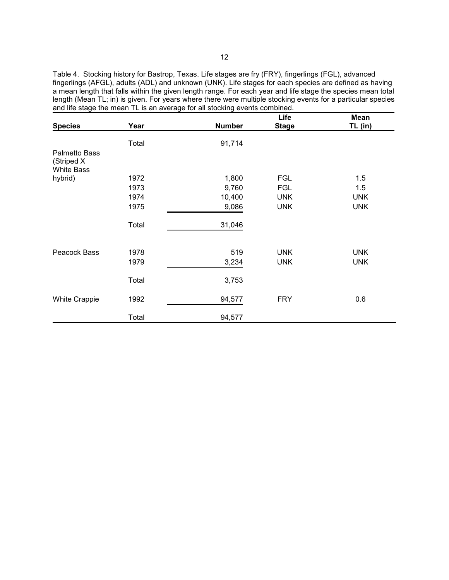Table 4. Stocking history for Bastrop, Texas. Life stages are fry (FRY), fingerlings (FGL), advanced fingerlings (AFGL), adults (ADL) and unknown (UNK). Life stages for each species are defined as having a mean length that falls within the given length range. For each year and life stage the species mean total length (Mean TL; in) is given. For years where there were multiple stocking events for a particular species and life stage the mean TL is an average for all stocking events combined.

| <b>Species</b>                     | Year  | <b>Number</b> | Life<br><b>Stage</b> | Mean<br>TL (in) |
|------------------------------------|-------|---------------|----------------------|-----------------|
|                                    |       |               |                      |                 |
|                                    | Total | 91,714        |                      |                 |
| <b>Palmetto Bass</b><br>(Striped X |       |               |                      |                 |
| <b>White Bass</b>                  |       |               |                      |                 |
| hybrid)                            | 1972  | 1,800         | <b>FGL</b>           | 1.5             |
|                                    | 1973  | 9,760         | <b>FGL</b>           | 1.5             |
|                                    | 1974  | 10,400        | <b>UNK</b>           | <b>UNK</b>      |
|                                    | 1975  | 9,086         | <b>UNK</b>           | <b>UNK</b>      |
|                                    | Total | 31,046        |                      |                 |
|                                    |       |               |                      |                 |
| Peacock Bass                       | 1978  | 519           | <b>UNK</b>           | <b>UNK</b>      |
|                                    | 1979  | 3,234         | <b>UNK</b>           | <b>UNK</b>      |
|                                    | Total | 3,753         |                      |                 |
| <b>White Crappie</b>               | 1992  | 94,577        | <b>FRY</b>           | 0.6             |
|                                    | Total | 94,577        |                      |                 |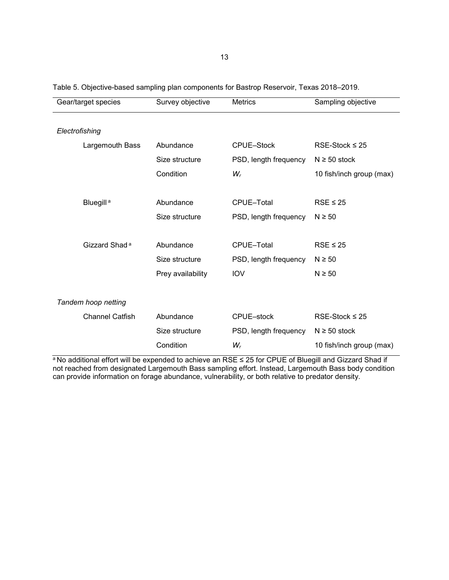| Gear/target species       | Survey objective  | <b>Metrics</b>        | Sampling objective       |
|---------------------------|-------------------|-----------------------|--------------------------|
|                           |                   |                       |                          |
| Electrofishing            |                   |                       |                          |
| Largemouth Bass           | Abundance         | CPUE-Stock            | $RSE-Stock \leq 25$      |
|                           | Size structure    | PSD, length frequency | $N \ge 50$ stock         |
|                           | Condition         | $W_r$                 | 10 fish/inch group (max) |
|                           |                   |                       |                          |
| Bluegill <sup>a</sup>     | Abundance         | CPUE-Total            | $RSE \leq 25$            |
|                           | Size structure    | PSD, length frequency | $N \geq 50$              |
|                           |                   |                       |                          |
| Gizzard Shad <sup>a</sup> | Abundance         | CPUE-Total            | $RSE \leq 25$            |
|                           | Size structure    | PSD, length frequency | $N \geq 50$              |
|                           | Prey availability | <b>IOV</b>            | $N \geq 50$              |
|                           |                   |                       |                          |
| Tandem hoop netting       |                   |                       |                          |
| <b>Channel Catfish</b>    | Abundance         | CPUE-stock            | $RSE-Stock \leq 25$      |
|                           | Size structure    | PSD, length frequency | $N \ge 50$ stock         |
|                           | Condition         | $W_r$                 | 10 fish/inch group (max) |

<span id="page-14-0"></span>Table 5. Objective-based sampling plan components for Bastrop Reservoir, Texas 2018–2019.

ª No additional effort will be expended to achieve an RSE ≤ 25 for CPUE of Bluegill and Gizzard Shad if not reached from designated Largemouth Bass sampling effort. Instead, Largemouth Bass body condition can provide information on forage abundance, vulnerability, or both relative to predator density.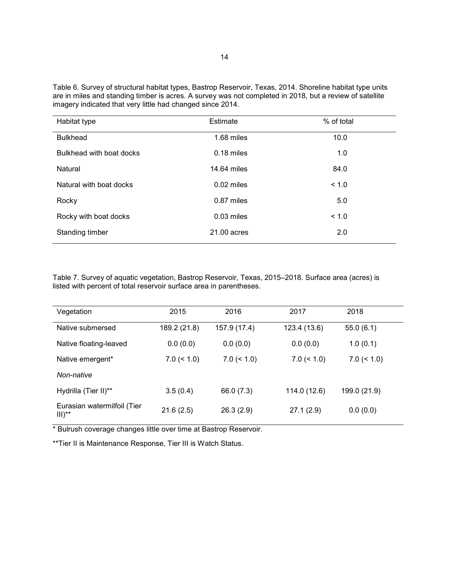<span id="page-15-0"></span>Table 6. Survey of structural habitat types, Bastrop Reservoir, Texas, 2014. Shoreline habitat type units are in miles and standing timber is acres. A survey was not completed in 2018, but a review of satellite imagery indicated that very little had changed since 2014.

| Habitat type             | Estimate      | % of total |
|--------------------------|---------------|------------|
| <b>Bulkhead</b>          | 1.68 miles    | 10.0       |
| Bulkhead with boat docks | $0.18$ miles  | 1.0        |
| Natural                  | 14.64 miles   | 84.0       |
| Natural with boat docks  | $0.02$ miles  | < 1.0      |
| Rocky                    | 0.87 miles    | 5.0        |
| Rocky with boat docks    | $0.03$ miles  | < 1.0      |
| Standing timber          | $21.00$ acres | 2.0        |

Table 7. Survey of aquatic vegetation, Bastrop Reservoir, Texas, 2015–2018. Surface area (acres) is listed with percent of total reservoir surface area in parentheses.

| Vegetation                               | 2015          | 2016          | 2017          | 2018          |
|------------------------------------------|---------------|---------------|---------------|---------------|
| Native submersed                         | 189.2 (21.8)  | 157.9 (17.4)  | 123.4 (13.6)  | 55.0(6.1)     |
| Native floating-leaved                   | 0.0(0.0)      | 0.0(0.0)      | 0.0(0.0)      | 1.0(0.1)      |
| Native emergent*                         | $7.0 \le 1.0$ | $7.0 \le 1.0$ | $7.0 \le 1.0$ | $7.0 \le 1.0$ |
| Non-native                               |               |               |               |               |
| Hydrilla (Tier II)**                     | 3.5(0.4)      | 66.0 (7.3)    | 114.0 (12.6)  | 199.0 (21.9)  |
| Eurasian watermilfoil (Tier<br>$III)$ ** | 21.6(2.5)     | 26.3(2.9)     | 27.1(2.9)     | 0.0(0.0)      |

\* Bulrush coverage changes little over time at Bastrop Reservoir.

\*\*Tier II is Maintenance Response, Tier III is Watch Status.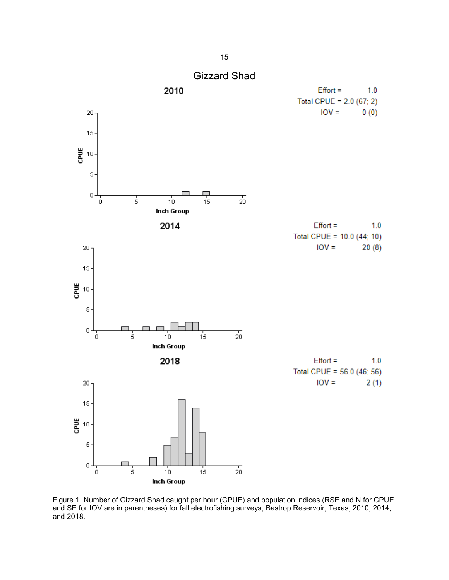<span id="page-16-0"></span>

Figure 1. Number of Gizzard Shad caught per hour (CPUE) and population indices (RSE and N for CPUE and SE for IOV are in parentheses) for fall electrofishing surveys, Bastrop Reservoir, Texas, 2010, 2014, and 2018.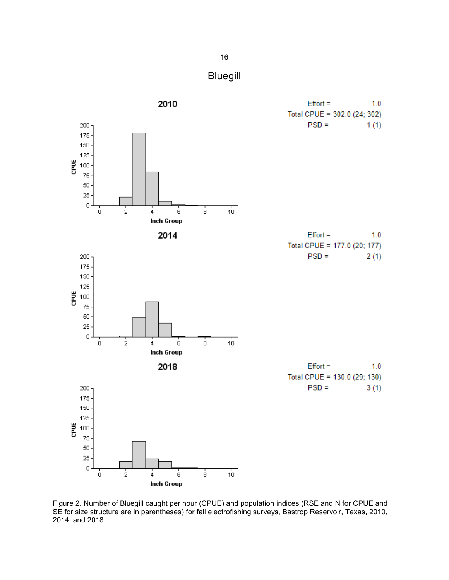

<span id="page-17-0"></span>

Figure 2. Number of Bluegill caught per hour (CPUE) and population indices (RSE and N for CPUE and SE for size structure are in parentheses) for fall electrofishing surveys, Bastrop Reservoir, Texas, 2010, 2014, and 2018.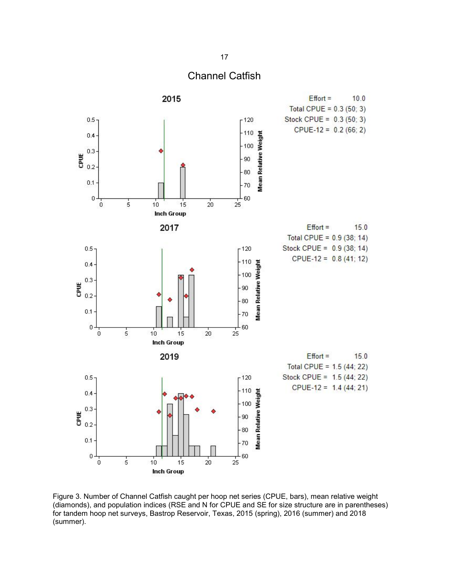

<span id="page-18-0"></span>

Figure 3. Number of Channel Catfish caught per hoop net series (CPUE, bars), mean relative weight (diamonds), and population indices (RSE and N for CPUE and SE for size structure are in parentheses) for tandem hoop net surveys, Bastrop Reservoir, Texas, 2015 (spring), 2016 (summer) and 2018 (summer).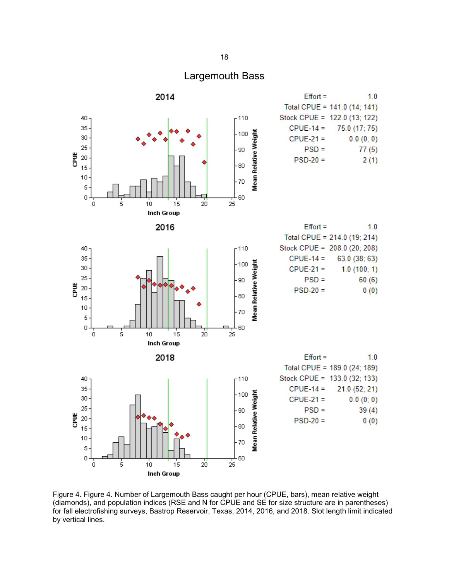### Largemouth Bass

<span id="page-19-0"></span>

Figure 4. Figure 4. Number of Largemouth Bass caught per hour (CPUE, bars), mean relative weight (diamonds), and population indices (RSE and N for CPUE and SE for size structure are in parentheses) for fall electrofishing surveys, Bastrop Reservoir, Texas, 2014, 2016, and 2018. Slot length limit indicated by vertical lines.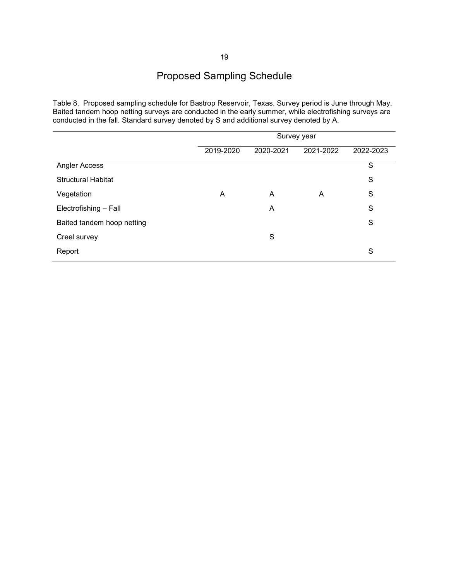<span id="page-20-0"></span>Table 8. Proposed sampling schedule for Bastrop Reservoir, Texas. Survey period is June through May. Baited tandem hoop netting surveys are conducted in the early summer, while electrofishing surveys are conducted in the fall. Standard survey denoted by S and additional survey denoted by A.

|                            | Survey year |           |           |           |
|----------------------------|-------------|-----------|-----------|-----------|
|                            | 2019-2020   | 2020-2021 | 2021-2022 | 2022-2023 |
| Angler Access              |             |           |           | S         |
| <b>Structural Habitat</b>  |             |           |           | S         |
| Vegetation                 | A           | A         | A         | S         |
| Electrofishing - Fall      |             | A         |           | S         |
| Baited tandem hoop netting |             |           |           | S         |
| Creel survey               |             | S         |           |           |
| Report                     |             |           |           | S         |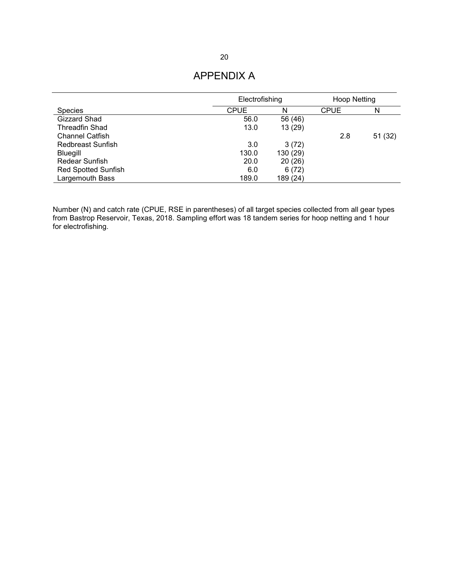### APPENDIX A

<span id="page-21-0"></span>

|                            | Electrofishing |          | Hoop Netting |        |
|----------------------------|----------------|----------|--------------|--------|
| <b>Species</b>             | <b>CPUE</b>    | N        | <b>CPUE</b>  | N      |
| Gizzard Shad               | 56.0           | 56 (46)  |              |        |
| Threadfin Shad             | 13.0           | 13(29)   |              |        |
| <b>Channel Catfish</b>     |                |          | 2.8          | 51(32) |
| Redbreast Sunfish          | 3.0            | 3(72)    |              |        |
| Bluegill                   | 130.0          | 130 (29) |              |        |
| Redear Sunfish             | 20.0           | 20(26)   |              |        |
| <b>Red Spotted Sunfish</b> | 6.0            | 6(72)    |              |        |
| <b>Largemouth Bass</b>     | 189.0          | 189 (24) |              |        |

Number (N) and catch rate (CPUE, RSE in parentheses) of all target species collected from all gear types from Bastrop Reservoir, Texas, 2018. Sampling effort was 18 tandem series for hoop netting and 1 hour for electrofishing.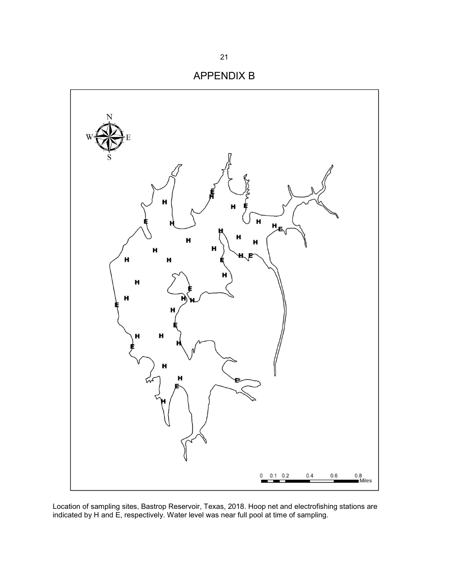

<span id="page-22-0"></span>

Location of sampling sites, Bastrop Reservoir, Texas, 2018. Hoop net and electrofishing stations are indicated by H and E, respectively. Water level was near full pool at time of sampling.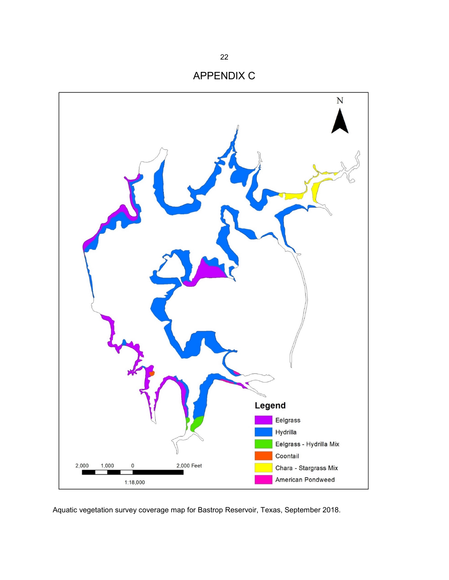<span id="page-23-0"></span>

Aquatic vegetation survey coverage map for Bastrop Reservoir, Texas, September 2018.